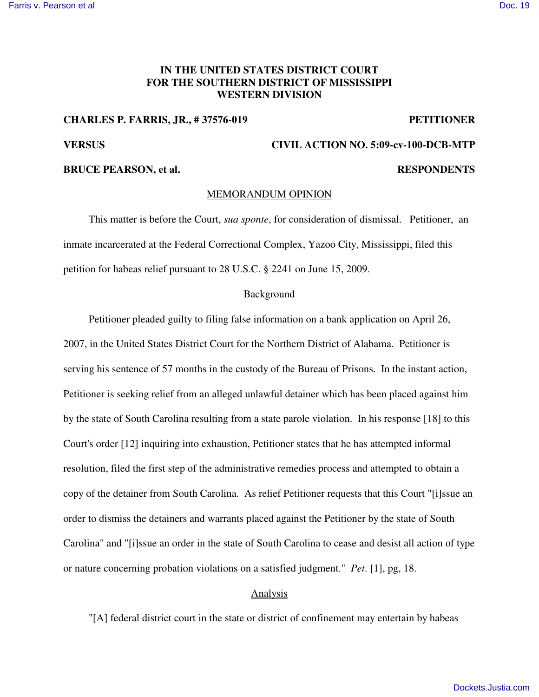# **IN THE UNITED STATES DISTRICT COURT FOR THE SOUTHERN DISTRICT OF MISSISSIPPI WESTERN DIVISION**

## **CHARLES P. FARRIS, JR., # 37576-019 PETITIONER**

# **VERSUS CIVIL ACTION NO. 5:09-cv-100-DCB-MTP**

## **BRUCE PEARSON, et al. RESPONDENTS**

### MEMORANDUM OPINION

This matter is before the Court, *sua sponte*, for consideration of dismissal. Petitioner, an inmate incarcerated at the Federal Correctional Complex, Yazoo City, Mississippi, filed this petition for habeas relief pursuant to 28 U.S.C. § 2241 on June 15, 2009.

### Background

Petitioner pleaded guilty to filing false information on a bank application on April 26, 2007, in the United States District Court for the Northern District of Alabama. Petitioner is serving his sentence of 57 months in the custody of the Bureau of Prisons. In the instant action, Petitioner is seeking relief from an alleged unlawful detainer which has been placed against him by the state of South Carolina resulting from a state parole violation. In his response [18] to this Court's order [12] inquiring into exhaustion, Petitioner states that he has attempted informal resolution, filed the first step of the administrative remedies process and attempted to obtain a copy of the detainer from South Carolina. As relief Petitioner requests that this Court "[i]ssue an order to dismiss the detainers and warrants placed against the Petitioner by the state of South Carolina" and "[i]ssue an order in the state of South Carolina to cease and desist all action of type or nature concerning probation violations on a satisfied judgment." *Pet*. [1], pg, 18.

### Analysis

"[A] federal district court in the state or district of confinement may entertain by habeas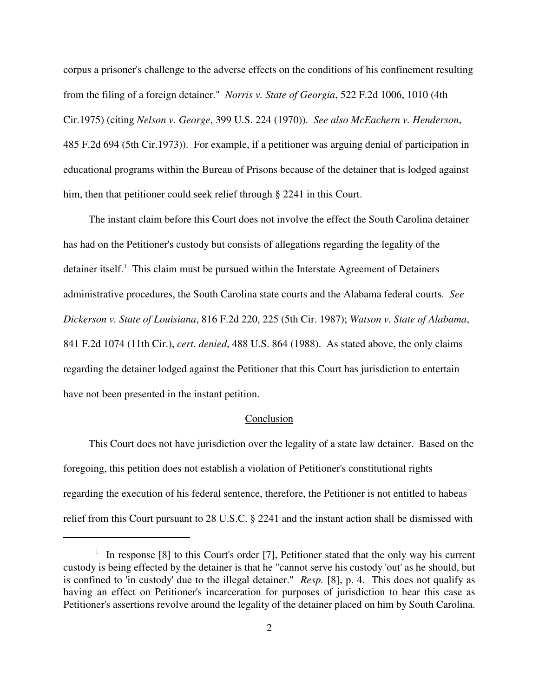corpus a prisoner's challenge to the adverse effects on the conditions of his confinement resulting from the filing of a foreign detainer." *Norris v. State of Georgia*, 522 F.2d 1006, 1010 (4th Cir.1975) (citing *Nelson v. George*, 399 U.S. 224 (1970)). *See also McEachern v. Henderson*, 485 F.2d 694 (5th Cir.1973)). For example, if a petitioner was arguing denial of participation in educational programs within the Bureau of Prisons because of the detainer that is lodged against him, then that petitioner could seek relief through § 2241 in this Court.

The instant claim before this Court does not involve the effect the South Carolina detainer has had on the Petitioner's custody but consists of allegations regarding the legality of the detainer itself. <sup>1</sup> This claim must be pursued within the Interstate Agreement of Detainers administrative procedures, the South Carolina state courts and the Alabama federal courts. *See Dickerson v. State of Louisiana*, 816 F.2d 220, 225 (5th Cir. 1987); *Watson v. State of Alabama*, 841 F.2d 1074 (11th Cir.), *cert. denied*, 488 U.S. 864 (1988). As stated above, the only claims regarding the detainer lodged against the Petitioner that this Court has jurisdiction to entertain have not been presented in the instant petition.

### Conclusion

This Court does not have jurisdiction over the legality of a state law detainer. Based on the foregoing, this petition does not establish a violation of Petitioner's constitutional rights regarding the execution of his federal sentence, therefore, the Petitioner is not entitled to habeas relief from this Court pursuant to 28 U.S.C. § 2241 and the instant action shall be dismissed with

 $1$  In response [8] to this Court's order [7], Petitioner stated that the only way his current custody is being effected by the detainer is that he "cannot serve his custody 'out' as he should, but is confined to 'in custody' due to the illegal detainer." *Resp.* [8], p. 4. This does not qualify as having an effect on Petitioner's incarceration for purposes of jurisdiction to hear this case as Petitioner's assertions revolve around the legality of the detainer placed on him by South Carolina.